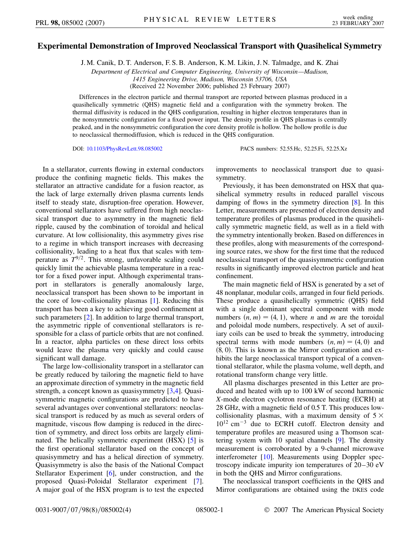## **Experimental Demonstration of Improved Neoclassical Transport with Quasihelical Symmetry**

J. M. Canik, D. T. Anderson, F. S. B. Anderson, K. M. Likin, J. N. Talmadge, and K. Zhai

*Department of Electrical and Computer Engineering, University of Wisconsin—Madison, 1415 Engineering Drive, Madison, Wisconsin 53706, USA*

(Received 22 November 2006; published 23 February 2007)

Differences in the electron particle and thermal transport are reported between plasmas produced in a quasihelically symmetric (QHS) magnetic field and a configuration with the symmetry broken. The thermal diffusivity is reduced in the QHS configuration, resulting in higher electron temperatures than in the nonsymmetric configuration for a fixed power input. The density profile in QHS plasmas is centrally peaked, and in the nonsymmetric configuration the core density profile is hollow. The hollow profile is due to neoclassical thermodiffusion, which is reduced in the QHS configuration.

DOI: [10.1103/PhysRevLett.98.085002](http://dx.doi.org/10.1103/PhysRevLett.98.085002) PACS numbers: 52.55.Hc, 52.25.Fi, 52.25.Xz

In a stellarator, currents flowing in external conductors produce the confining magnetic fields. This makes the stellarator an attractive candidate for a fusion reactor, as the lack of large externally driven plasma currents lends itself to steady state, disruption-free operation. However, conventional stellarators have suffered from high neoclassical transport due to asymmetry in the magnetic field ripple, caused by the combination of toroidal and helical curvature. At low collisionality, this asymmetry gives rise to a regime in which transport increases with decreasing collisionality, leading to a heat flux that scales with temperature as  $T^{9/2}$ . This strong, unfavorable scaling could quickly limit the achievable plasma temperature in a reactor for a fixed power input. Although experimental transport in stellarators is generally anomalously large, neoclassical transport has been shown to be important in the core of low-collisionality plasmas [\[1\]](#page-3-0). Reducing this transport has been a key to achieving good confinement at such parameters [[2](#page-3-1)]. In addition to large thermal transport, the asymmetric ripple of conventional stellarators is responsible for a class of particle orbits that are not confined. In a reactor, alpha particles on these direct loss orbits would leave the plasma very quickly and could cause significant wall damage.

The large low-collisionality transport in a stellarator can be greatly reduced by tailoring the magnetic field to have an approximate direction of symmetry in the magnetic field strength, a concept known as quasisymmetry [\[3](#page-3-2)[,4](#page-3-3)]. Quasisymmetric magnetic configurations are predicted to have several advantages over conventional stellarators: neoclassical transport is reduced by as much as several orders of magnitude, viscous flow damping is reduced in the direction of symmetry, and direct loss orbits are largely eliminated. The helically symmetric experiment (HSX) [\[5](#page-3-4)] is the first operational stellarator based on the concept of quasisymmetry and has a helical direction of symmetry. Quasisymmetry is also the basis of the National Compact Stellarator Experiment [[6\]](#page-3-5), under construction, and the proposed Quasi-Poloidal Stellarator experiment [[7\]](#page-3-6). A major goal of the HSX program is to test the expected

improvements to neoclassical transport due to quasisymmetry.

Previously, it has been demonstrated on HSX that quasihelical symmetry results in reduced parallel viscous damping of flows in the symmetry direction [\[8\]](#page-3-7). In this Letter, measurements are presented of electron density and temperature profiles of plasmas produced in the quasihelically symmetric magnetic field, as well as in a field with the symmetry intentionally broken. Based on differences in these profiles, along with measurements of the corresponding source rates, we show for the first time that the reduced neoclassical transport of the quasisymmetric configuration results in significantly improved electron particle and heat confinement.

The main magnetic field of HSX is generated by a set of 48 nonplanar, modular coils, arranged in four field periods. These produce a quasihelically symmetric (QHS) field with a single dominant spectral component with mode numbers  $(n, m) = (4, 1)$ , where *n* and *m* are the toroidal and poloidal mode numbers, respectively. A set of auxiliary coils can be used to break the symmetry, introducing spectral terms with mode numbers  $(n, m) = (4, 0)$  and  $(8, 0)$ . This is known as the Mirror configuration and exhibits the large neoclassical transport typical of a conventional stellarator, while the plasma volume, well depth, and rotational transform change very little.

All plasma discharges presented in this Letter are produced and heated with up to 100 kW of second harmonic *X*-mode electron cyclotron resonance heating (ECRH) at 28 GHz, with a magnetic field of 0.5 T. This produces lowcollisionality plasmas, with a maximum density of  $5 \times$  $10^{12}$  cm<sup>-3</sup> due to ECRH cutoff. Electron density and temperature profiles are measured using a Thomson scattering system with 10 spatial channels [[9](#page-3-8)]. The density measurement is corroborated by a 9-channel microwave interferometer [[10\]](#page-3-9). Measurements using Doppler spectroscopy indicate impurity ion temperatures of 20–30 eV in both the QHS and Mirror configurations.

The neoclassical transport coefficients in the QHS and Mirror configurations are obtained using the DKES code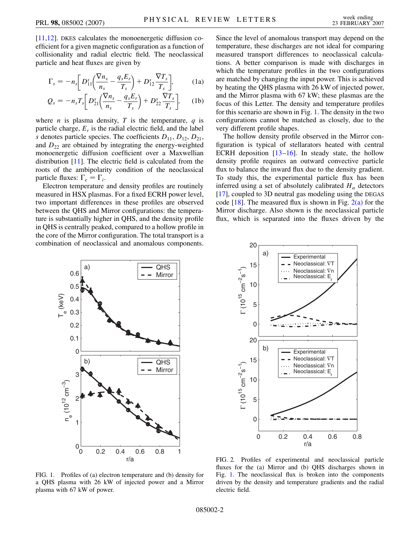[\[11](#page-3-10)[,12\]](#page-3-11). DKES calculates the monoenergetic diffusion coefficient for a given magnetic configuration as a function of collisionality and radial electric field. The neoclassical particle and heat fluxes are given by

<span id="page-1-2"></span>
$$
\Gamma_s = -n_s \bigg[ D_{11}^s \bigg( \frac{\nabla n_s}{n_s} - \frac{q_s E_r}{T_s} \bigg) + D_{12}^s \frac{\nabla T_s}{T_s} \bigg],\tag{1a}
$$

$$
Q_s = -n_s T_s \bigg[ D_{21}^s \bigg( \frac{\nabla n_s}{n_s} - \frac{q_s E_r}{T_s} \bigg) + D_{22}^s \frac{\nabla T_s}{T_s} \bigg], \qquad (1b)
$$

where *n* is plasma density, *T* is the temperature, *q* is particle charge,  $E_r$  is the radial electric field, and the label *s* denotes particle species. The coefficients  $D_{11}$ ,  $D_{12}$ ,  $D_{21}$ , and  $D_{22}$  are obtained by integrating the energy-weighted monoenergetic diffusion coefficient over a Maxwellian distribution [\[11\]](#page-3-10). The electric field is calculated from the roots of the ambipolarity condition of the neoclassical particle fluxes:  $\Gamma_e = \Gamma_i$ .

Electron temperature and density profiles are routinely measured in HSX plasmas. For a fixed ECRH power level, two important differences in these profiles are observed between the QHS and Mirror configurations: the temperature is substantially higher in QHS, and the density profile in QHS is centrally peaked, compared to a hollow profile in the core of the Mirror configuration. The total transport is a combination of neoclassical and anomalous components. Since the level of anomalous transport may depend on the temperature, these discharges are not ideal for comparing measured transport differences to neoclassical calculations. A better comparison is made with discharges in which the temperature profiles in the two configurations are matched by changing the input power. This is achieved by heating the QHS plasma with 26 kW of injected power, and the Mirror plasma with 67 kW; these plasmas are the focus of this Letter. The density and temperature profiles for this scenario are shown in Fig. [1.](#page-1-0) The density in the two configurations cannot be matched as closely, due to the very different profile shapes.

The hollow density profile observed in the Mirror configuration is typical of stellarators heated with central ECRH deposition  $[13–16]$  $[13–16]$  $[13–16]$ . In steady state, the hollow density profile requires an outward convective particle flux to balance the inward flux due to the density gradient. To study this, the experimental particle flux has been inferred using a set of absolutely calibrated  $H_{\alpha}$  detectors [\[17\]](#page-3-14), coupled to 3D neutral gas modeling using the DEGAS code  $[18]$ . The measured flux is shown in Fig.  $2(a)$  for the Mirror discharge. Also shown is the neoclassical particle flux, which is separated into the fluxes driven by the

<span id="page-1-0"></span>



FIG. 1. Profiles of (a) electron temperature and (b) density for a QHS plasma with 26 kW of injected power and a Mirror plasma with 67 kW of power.

<span id="page-1-1"></span>FIG. 2. Profiles of experimental and neoclassical particle fluxes for the (a) Mirror and (b) QHS discharges shown in Fig. [1](#page-1-0). The neoclassical flux is broken into the components driven by the density and temperature gradients and the radial electric field.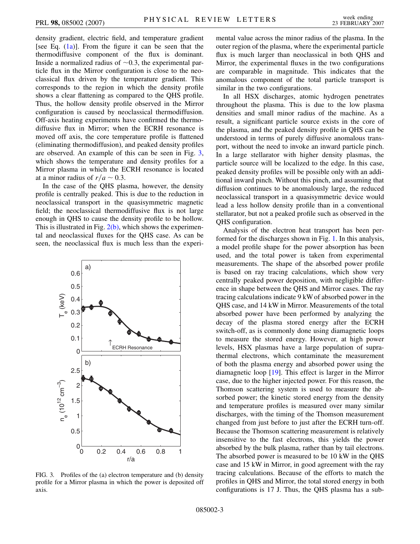density gradient, electric field, and temperature gradient [see Eq.  $(1a)$  $(1a)$ ]. From the figure it can be seen that the thermodiffusive component of the flux is dominant. Inside a normalized radius of  $\sim 0.3$ , the experimental particle flux in the Mirror configuration is close to the neoclassical flux driven by the temperature gradient. This corresponds to the region in which the density profile shows a clear flattening as compared to the QHS profile. Thus, the hollow density profile observed in the Mirror configuration is caused by neoclassical thermodiffusion. Off-axis heating experiments have confirmed the thermodiffusive flux in Mirror; when the ECRH resonance is moved off axis, the core temperature profile is flattened (eliminating thermodiffusion), and peaked density profiles are observed. An example of this can be seen in Fig. [3](#page-2-0), which shows the temperature and density profiles for a Mirror plasma in which the ECRH resonance is located at a minor radius of  $r/a \sim 0.3$ .

In the case of the QHS plasma, however, the density profile is centrally peaked. This is due to the reduction in neoclassical transport in the quasisymmetric magnetic field; the neoclassical thermodiffusive flux is not large enough in QHS to cause the density profile to be hollow. This is illustrated in Fig.  $2(b)$ , which shows the experimental and neoclassical fluxes for the QHS case. As can be seen, the neoclassical flux is much less than the experi-

<span id="page-2-0"></span>

FIG. 3. Profiles of the (a) electron temperature and (b) density profile for a Mirror plasma in which the power is deposited off axis.

mental value across the minor radius of the plasma. In the outer region of the plasma, where the experimental particle flux is much larger than neoclassical in both QHS and Mirror, the experimental fluxes in the two configurations are comparable in magnitude. This indicates that the anomalous component of the total particle transport is similar in the two configurations.

In all HSX discharges, atomic hydrogen penetrates throughout the plasma. This is due to the low plasma densities and small minor radius of the machine. As a result, a significant particle source exists in the core of the plasma, and the peaked density profile in QHS can be understood in terms of purely diffusive anomalous transport, without the need to invoke an inward particle pinch. In a large stellarator with higher density plasmas, the particle source will be localized to the edge. In this case, peaked density profiles will be possible only with an additional inward pinch. Without this pinch, and assuming that diffusion continues to be anomalously large, the reduced neoclassical transport in a quasisymmetric device would lead a less hollow density profile than in a conventional stellarator, but not a peaked profile such as observed in the QHS configuration.

Analysis of the electron heat transport has been performed for the discharges shown in Fig. [1](#page-1-0). In this analysis, a model profile shape for the power absorption has been used, and the total power is taken from experimental measurements. The shape of the absorbed power profile is based on ray tracing calculations, which show very centrally peaked power deposition, with negligible difference in shape between the QHS and Mirror cases. The ray tracing calculations indicate 9 kW of absorbed power in the QHS case, and 14 kW in Mirror. Measurements of the total absorbed power have been performed by analyzing the decay of the plasma stored energy after the ECRH switch-off, as is commonly done using diamagnetic loops to measure the stored energy. However, at high power levels, HSX plasmas have a large population of suprathermal electrons, which contaminate the measurement of both the plasma energy and absorbed power using the diamagnetic loop [[19](#page-3-16)]. This effect is larger in the Mirror case, due to the higher injected power. For this reason, the Thomson scattering system is used to measure the absorbed power; the kinetic stored energy from the density and temperature profiles is measured over many similar discharges, with the timing of the Thomson measurement changed from just before to just after the ECRH turn-off. Because the Thomson scattering measurement is relatively insensitive to the fast electrons, this yields the power absorbed by the bulk plasma, rather than by tail electrons. The absorbed power is measured to be 10 kW in the QHS case and 15 kW in Mirror, in good agreement with the ray tracing calculations. Because of the efforts to match the profiles in QHS and Mirror, the total stored energy in both configurations is 17 J. Thus, the QHS plasma has a sub-